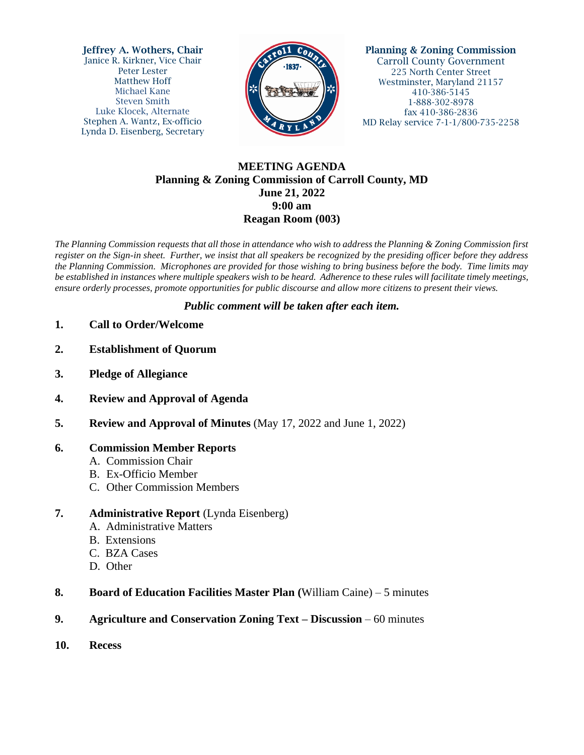Jeffrey A. Wothers, Chair Janice R. Kirkner, Vice Chair Peter Lester Matthew Hoff Michael Kane Steven Smith Luke Klocek, Alternate Stephen A. Wantz, Ex-officio Lynda D. Eisenberg, Secretary



Planning & Zoning Commission Carroll County Government 225 North Center Street Westminster, Maryland 21157 410-386-5145 1-888-302-8978 fax 410-386-2836 MD Relay service 7-1-1/800-735-2258

# **MEETING AGENDA Planning & Zoning Commission of Carroll County, MD June 21, 2022 9:00 am Reagan Room (003)**

*The Planning Commission requests that all those in attendance who wish to address the Planning & Zoning Commission first register on the Sign-in sheet. Further, we insist that all speakers be recognized by the presiding officer before they address the Planning Commission. Microphones are provided for those wishing to bring business before the body. Time limits may be established in instances where multiple speakers wish to be heard. Adherence to these rules will facilitate timely meetings, ensure orderly processes, promote opportunities for public discourse and allow more citizens to present their views.*

### *Public comment will be taken after each item.*

- **1. Call to Order/Welcome**
- **2. Establishment of Quorum**
- **3. Pledge of Allegiance**
- **4. Review and Approval of Agenda**
- **5. Review and Approval of Minutes** (May 17, 2022 and June 1, 2022)

#### **6. Commission Member Reports**

- A. Commission Chair
- B. Ex-Officio Member
- C. Other Commission Members

# **7. Administrative Report** (Lynda Eisenberg)

- A. Administrative Matters
- B. Extensions
- C. BZA Cases
- D. Other
- **8. Board of Education Facilities Master Plan (**William Caine) 5 minutes
- **9. Agriculture and Conservation Zoning Text – Discussion**  60 minutes
- **10. Recess**